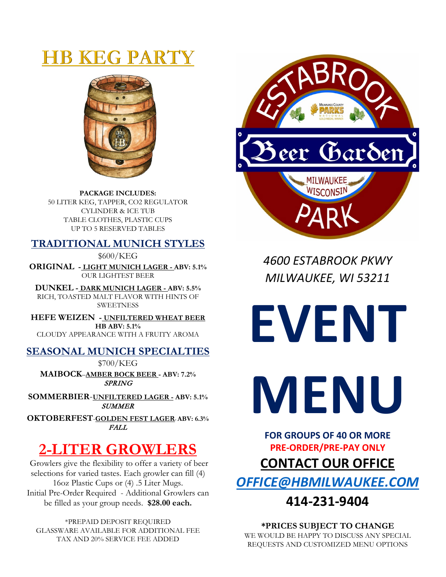# **HB KEG PARTY**



**PACKAGE INCLUDES:** 50 LITER KEG, TAPPER, CO2 REGULATOR CYLINDER & ICE TUB TABLE CLOTHES, PLASTIC CUPS UP TO 5 RESERVED TABLES

## **TRADITIONAL MUNICH STYLES**

\$600/KEG

**ORIGINAL - LIGHT MUNICH LAGER - ABV: 5.1%** OUR LIGHTEST BEER

**DUNKEL - DARK MUNICH LAGER - ABV: 5.5%** RICH, TOASTED MALT FLAVOR WITH HINTS OF **SWEETNESS** 

**HEFE WEIZEN - UNFILTERED WHEAT BEER HB ABV: 5.1%** CLOUDY APPEARANCE WITH A FRUITY AROMA

## **SEASONAL MUNICH SPECIALTIES**

\$700/KEG

**MAIBOCK**–**AMBER BOCK BEER - ABV: 7.2%** SPRING

**SOMMERBIER**-**UNFILTERED LAGER - ABV: 5.1% SUMMER** 

**OKTOBERFEST**-**GOLDEN FEST LAGER- ABV: 6.3%** FALL

# **2-LITER GROWLERS**

Growlers give the flexibility to offer a variety of beer selections for varied tastes. Each growler can fill (4) 16oz Plastic Cups or (4) .5 Liter Mugs. Initial Pre-Order Required - Additional Growlers can be filled as your group needs. **\$28.00 each.**

\*PREPAID DEPOSIT REQUIRED GLASSWARE AVAILABLE FOR ADDITIONAL FEE TAX AND 20% SERVICE FEE ADDED



*4600 ESTABROOK PKWY MILWAUKEE, WI 53211*

**EVENT MENU**

**FOR GROUPS OF 40 OR MORE PRE-ORDER/PRE-PAY ONLY CONTACT OUR OFFICE** *[OFFICE@HBMILWAUKEE.COM](mailto:OFFICE@HBMILWAUKEE.COM)*

## **414-231-9404**

**\*PRICES SUBJECT TO CHANGE** WE WOULD BE HAPPY TO DISCUSS ANY SPECIAL REQUESTS AND CUSTOMIZED MENU OPTIONS